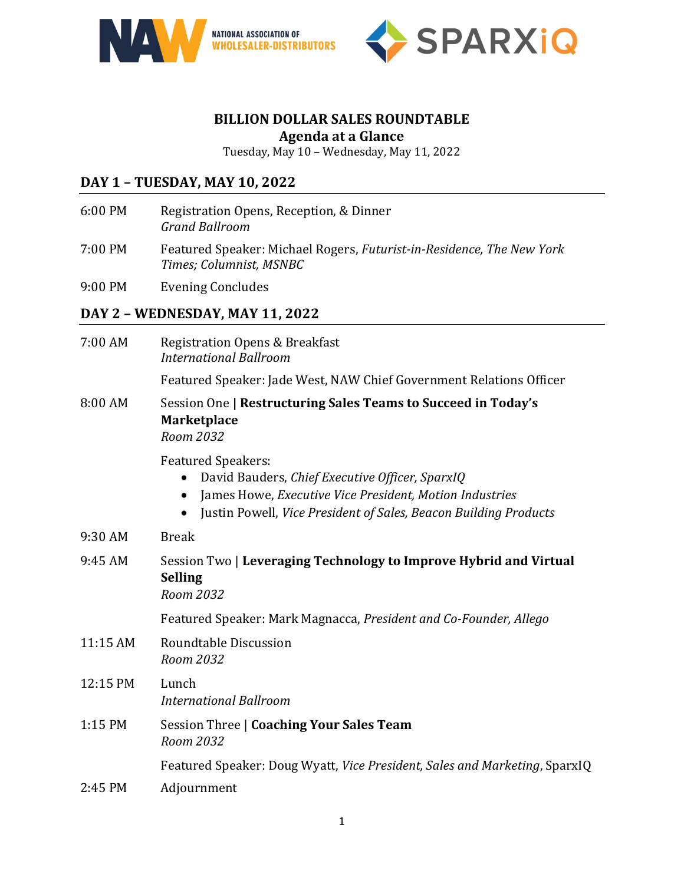



## **BILLION DOLLAR SALES ROUNDTABLE Agenda at a Glance**

Tuesday, May 10 – Wednesday, May 11, 2022

# **DAY 1 – TUESDAY, MAY 10, 2022**

- 6:00 PM Registration Opens, Reception, & Dinner *Grand Ballroom*
- 7:00 PM Featured Speaker: Michael Rogers, *Futurist-in-Residence, The New York Times; Columnist, MSNBC*
- 9:00 PM Evening Concludes

# **DAY 2 – WEDNESDAY, MAY 11, 2022**

| 7:00 AM  | <b>Registration Opens &amp; Breakfast</b><br><b>International Ballroom</b>                                                                                                                                               |
|----------|--------------------------------------------------------------------------------------------------------------------------------------------------------------------------------------------------------------------------|
|          | Featured Speaker: Jade West, NAW Chief Government Relations Officer                                                                                                                                                      |
| 8:00 AM  | Session One   Restructuring Sales Teams to Succeed in Today's<br><b>Marketplace</b><br>Room 2032                                                                                                                         |
|          | <b>Featured Speakers:</b><br>David Bauders, Chief Executive Officer, SparxIQ<br>James Howe, Executive Vice President, Motion Industries<br>$\bullet$<br>Justin Powell, Vice President of Sales, Beacon Building Products |
| 9:30 AM  | <b>Break</b>                                                                                                                                                                                                             |
| 9:45 AM  | Session Two   Leveraging Technology to Improve Hybrid and Virtual<br><b>Selling</b><br>Room 2032                                                                                                                         |
|          | Featured Speaker: Mark Magnacca, President and Co-Founder, Allego                                                                                                                                                        |
| 11:15 AM | <b>Roundtable Discussion</b><br>Room 2032                                                                                                                                                                                |
| 12:15 PM | Lunch<br><b>International Ballroom</b>                                                                                                                                                                                   |
| 1:15 PM  | Session Three   Coaching Your Sales Team<br>Room 2032                                                                                                                                                                    |
|          | Featured Speaker: Doug Wyatt, Vice President, Sales and Marketing, SparxIQ                                                                                                                                               |
| 2:45 PM  | Adjournment                                                                                                                                                                                                              |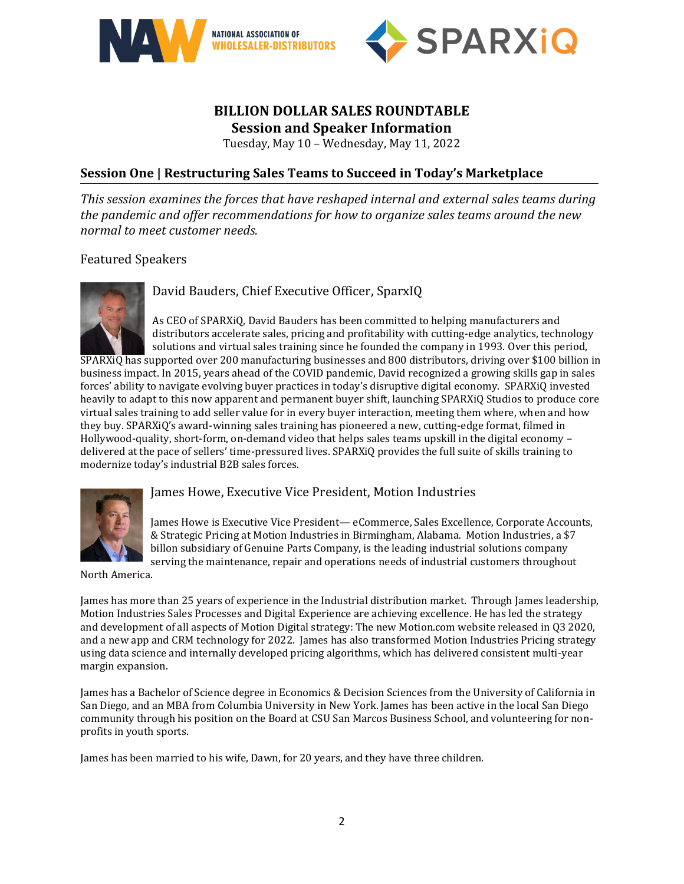



### **BILLION DOLLAR SALES ROUNDTABLE Session and Speaker Information**

Tuesday, May 10 – Wednesday, May 11, 2022

## **Session One | Restructuring Sales Teams to Succeed in Today's Marketplace**

*This session examines the forces that have reshaped internal and external sales teams during the pandemic and offer recommendations for how to organize sales teams around the new normal to meet customer needs.*

#### Featured Speakers



David Bauders, Chief Executive Officer, SparxIQ

As CEO of [SPARXiQ,](https://sparxiq.com/) David Bauders has been committed to helping manufacturers and distributors accelerate sales, pricing and profitability with cutting-edge analytics, technology solutions and virtual sales training since he founded the company in 1993. Over this period,

SPARXiQ has supported over 200 manufacturing businesses and 800 distributors, driving over \$100 billion in business impact. In 2015, years ahead of the COVID pandemic, David recognized a growing skills gap in sales forces' ability to navigate evolving buyer practices in today's disruptive digital economy. SPARXiQ invested heavily to adapt to this now apparent and permanent buyer shift, launching SPARXiQ Studios to produce core virtual sales training to add seller value for in every buyer interaction, meeting them where, when and how they buy. SPARXiQ's award-winning sales training has pioneered a new, cutting-edge format, filmed in Hollywood-quality, short-form, on-demand video that helps sales teams upskill in the digital economy – delivered at the pace of sellers' time-pressured lives. SPARXiQ provides the full suite of skills training to modernize today's industrial B2B sales forces.



#### James Howe, Executive Vice President, Motion Industries

James Howe is Executive Vice President— eCommerce, Sales Excellence, Corporate Accounts, & Strategic Pricing at Motion Industries in Birmingham, Alabama. Motion Industries, a \$7 billon subsidiary of Genuine Parts Company, is the leading industrial solutions company serving the maintenance, repair and operations needs of industrial customers throughout

North America.

James has more than 25 years of experience in the Industrial distribution market. Through James leadership, Motion Industries Sales Processes and Digital Experience are achieving excellence. He has led the strategy and development of all aspects of Motion Digital strategy: The new Motion.com website released in Q3 2020, and a new app and CRM technology for 2022. James has also transformed Motion Industries Pricing strategy using data science and internally developed pricing algorithms, which has delivered consistent multi-year margin expansion.

James has a Bachelor of Science degree in Economics & Decision Sciences from the University of California in San Diego, and an MBA from Columbia University in New York. James has been active in the local San Diego community through his position on the Board at CSU San Marcos Business School, and volunteering for nonprofits in youth sports.

James has been married to his wife, Dawn, for 20 years, and they have three children.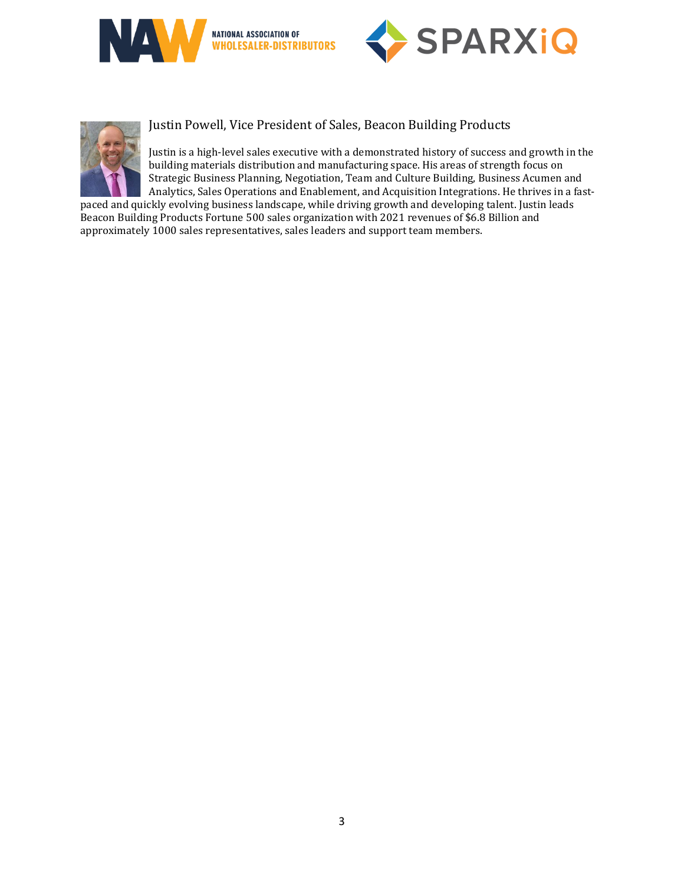





Justin Powell, Vice President of Sales, Beacon Building Products

Justin is a high-level sales executive with a demonstrated history of success and growth in the building materials distribution and manufacturing space. His areas of strength focus on Strategic Business Planning, Negotiation, Team and Culture Building, Business Acumen and Analytics, Sales Operations and Enablement, and Acquisition Integrations. He thrives in a fast-

paced and quickly evolving business landscape, while driving growth and developing talent. Justin leads Beacon Building Products Fortune 500 sales organization with 2021 revenues of \$6.8 Billion and approximately 1000 sales representatives, sales leaders and support team members.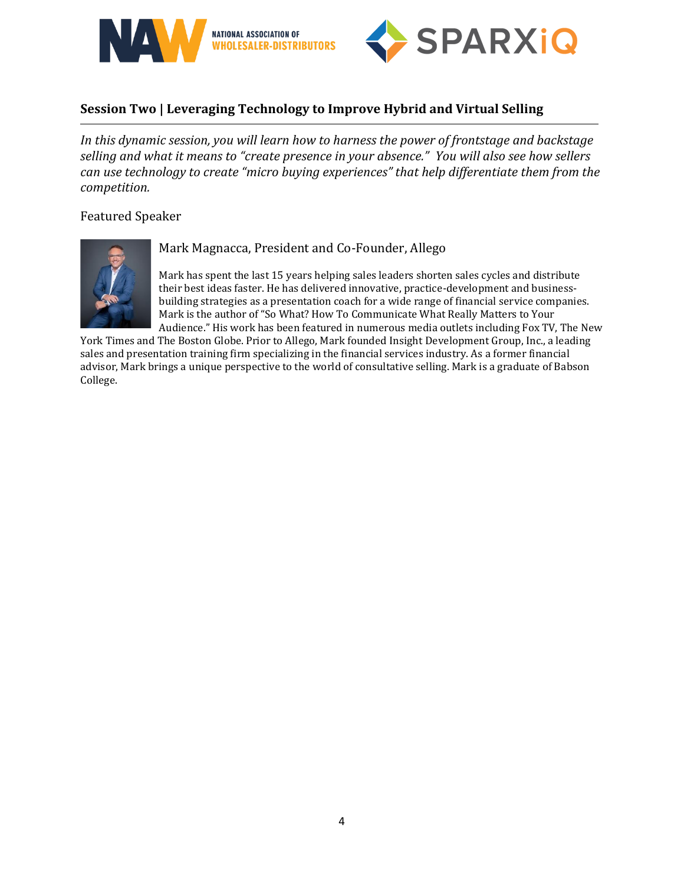



# **Session Two | Leveraging Technology to Improve Hybrid and Virtual Selling**

*In this dynamic session, you will learn how to harness the power of frontstage and backstage selling and what it means to "create presence in your absence." You will also see how sellers can use technology to create "micro buying experiences" that help differentiate them from the competition.*

Featured Speaker



#### Mark Magnacca, President and Co-Founder, Allego

Mark has spent the last 15 years helping sales leaders shorten sales cycles and distribute their best ideas faster. He has delivered innovative, practice-development and businessbuilding strategies as a presentation coach for a wide range of financial service companies. Mark is the author of "So What? How To Communicate What Really Matters to Your Audience." His work has been featured in numerous media outlets including Fox TV, The New

York Times and The Boston Globe. Prior to Allego, Mark founded Insight Development Group, Inc., a leading sales and presentation training firm specializing in the financial services industry. As a former financial advisor, Mark brings a unique perspective to the world of consultative selling. Mark is a graduate of Babson College.